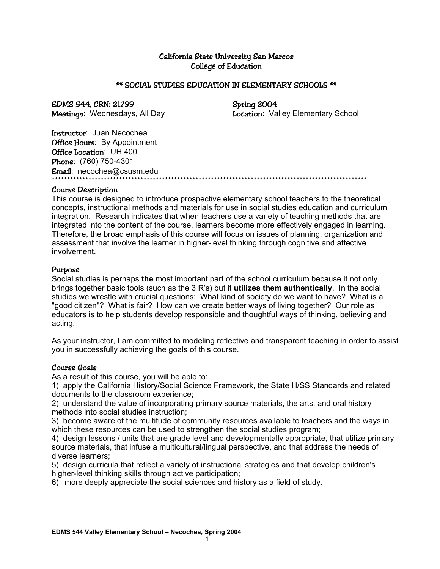### California State University San Marcos College of Education

### \*\* SOCIAL STUDIES EDUCATION IN ELEMENTARY SCHOOLS \*\*

# EDMS 544, CRN: 21799 Spring 2004

Meetings: Wednesdays, All Day **Location:** Valley Elementary School

Instructor: Juan Necochea **Office Hours:** By Appointment Office Location: UH 400 Phone: (760) 750-4301 Email: necochea@csusm.edu \*\*\*\*\*\*\*\*\*\*\*\*\*\*\*\*\*\*\*\*\*\*\*\*\*\*\*\*\*\*\*\*\*\*\*\*\*\*\*\*\*\*\*\*\*\*\*\*\*\*\*\*\*\*\*\*\*\*\*\*\*\*\*\*\*\*\*\*\*\*\*\*\*\*\*\*\*\*\*\*\*\*\*\*\*\*\*\*\*\*\*\*\*\*\*\*\*\*\*\*\*\*\*

### Course Description

This course is designed to introduce prospective elementary school teachers to the theoretical concepts, instructional methods and materials for use in social studies education and curriculum integration. Research indicates that when teachers use a variety of teaching methods that are integrated into the content of the course, learners become more effectively engaged in learning. Therefore, the broad emphasis of this course will focus on issues of planning, organization and assessment that involve the learner in higher-level thinking through cognitive and affective involvement.

### Purpose

Social studies is perhaps **the** most important part of the school curriculum because it not only brings together basic tools (such as the 3 R's) but it **utilizes them authentically**. In the social studies we wrestle with crucial questions: What kind of society do we want to have? What is a "good citizen"? What is fair? How can we create better ways of living together? Our role as educators is to help students develop responsible and thoughtful ways of thinking, believing and acting.

As your instructor, I am committed to modeling reflective and transparent teaching in order to assist you in successfully achieving the goals of this course.

## Course Goals

As a result of this course, you will be able to:

1) apply the California History/Social Science Framework, the State H/SS Standards and related documents to the classroom experience;

2) understand the value of incorporating primary source materials, the arts, and oral history methods into social studies instruction;

3) become aware of the multitude of community resources available to teachers and the ways in which these resources can be used to strengthen the social studies program;

4) design lessons / units that are grade level and developmentally appropriate, that utilize primary source materials, that infuse a multicultural/lingual perspective, and that address the needs of diverse learners;

5) design curricula that reflect a variety of instructional strategies and that develop children's higher-level thinking skills through active participation;

6) more deeply appreciate the social sciences and history as a field of study.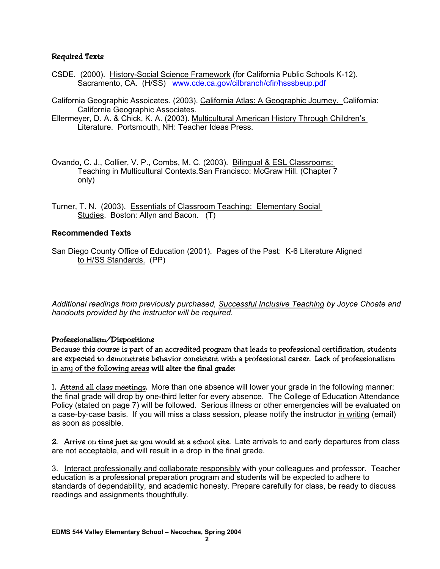### Required Texts

- CSDE. (2000). History-Social Science Framework (for California Public Schools K-12). Sacramento, CA. (H/SS) www.cde.ca.gov/cilbranch/cfir/hsssbeup.pdf
- California Geographic Assoicates. (2003). California Atlas: A Geographic Journey. California: California Geographic Associates.

Ellermeyer, D. A. & Chick, K. A. (2003). Multicultural American History Through Children's Literature. Portsmouth, NH: Teacher Ideas Press.

- Ovando, C. J., Collier, V. P., Combs, M. C. (2003). Bilingual & ESL Classrooms: Teaching in Multicultural Contexts*.*San Francisco: McGraw Hill. (Chapter 7 only)
- Turner, T. N. (2003). Essentials of Classroom Teaching: Elementary Social Studies. Boston: Allyn and Bacon. (T)

### **Recommended Texts**

San Diego County Office of Education (2001). Pages of the Past: K-6 Literature Aligned to H/SS Standards. (PP)

*Additional readings from previously purchased, Successful Inclusive Teaching by Joyce Choate and handouts provided by the instructor will be required.* 

### Professionalism/Dispositions

Because this course is part of an accredited program that leads to professional certification, students are expected to demonstrate behavior consistent with a professional career. Lack of professionalism in any of the following areas will alter the final grade:

1. Attend all class meetings. More than one absence will lower your grade in the following manner: the final grade will drop by one-third letter for every absence. The College of Education Attendance Policy (stated on page 7) will be followed. Serious illness or other emergencies will be evaluated on a case-by-case basis. If you will miss a class session*,* please notify the instructor in writing (email) as soon as possible.

2. Arrive on time just as you would at a school site. Late arrivals to and early departures from class are not acceptable, and will result in a drop in the final grade.

3. Interact professionally and collaborate responsibly with your colleagues and professor. Teacher education is a professional preparation program and students will be expected to adhere to standards of dependability, and academic honesty. Prepare carefully for class, be ready to discuss readings and assignments thoughtfully.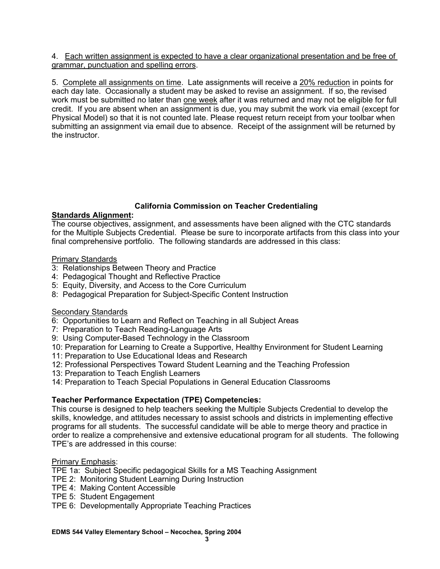### 4. Each written assignment is expected to have a clear organizational presentation and be free of grammar, punctuation and spelling errors.

5. Complete all assignments on time. Late assignments will receive a 20% reduction in points for each day late. Occasionally a student may be asked to revise an assignment. If so, the revised work must be submitted no later than one week after it was returned and may not be eligible for full credit. If you are absent when an assignment is due, you may submit the work via email (except for Physical Model) so that it is not counted late. Please request return receipt from your toolbar when submitting an assignment via email due to absence. Receipt of the assignment will be returned by the instructor.

## **California Commission on Teacher Credentialing**

## **Standards Alignment:**

The course objectives, assignment, and assessments have been aligned with the CTC standards for the Multiple Subjects Credential. Please be sure to incorporate artifacts from this class into your final comprehensive portfolio. The following standards are addressed in this class:

## Primary Standards

- 3: Relationships Between Theory and Practice
- 4: Pedagogical Thought and Reflective Practice
- 5: Equity, Diversity, and Access to the Core Curriculum
- 8: Pedagogical Preparation for Subject-Specific Content Instruction

## **Secondary Standards**

- 6: Opportunities to Learn and Reflect on Teaching in all Subject Areas
- 7: Preparation to Teach Reading-Language Arts
- 9: Using Computer-Based Technology in the Classroom
- 10: Preparation for Learning to Create a Supportive, Healthy Environment for Student Learning
- 11: Preparation to Use Educational Ideas and Research
- 12: Professional Perspectives Toward Student Learning and the Teaching Profession
- 13: Preparation to Teach English Learners
- 14: Preparation to Teach Special Populations in General Education Classrooms

## **Teacher Performance Expectation (TPE) Competencies:**

This course is designed to help teachers seeking the Multiple Subjects Credential to develop the skills, knowledge, and attitudes necessary to assist schools and districts in implementing effective programs for all students. The successful candidate will be able to merge theory and practice in order to realize a comprehensive and extensive educational program for all students. The following TPE's are addressed in this course:

## Primary Emphasis:

- TPE 1a: Subject Specific pedagogical Skills for a MS Teaching Assignment
- TPE 2: Monitoring Student Learning During Instruction
- TPE 4: Making Content Accessible
- TPE 5: Student Engagement
- TPE 6: Developmentally Appropriate Teaching Practices

### **EDMS 544 Valley Elementary School – Necochea, Spring 2004**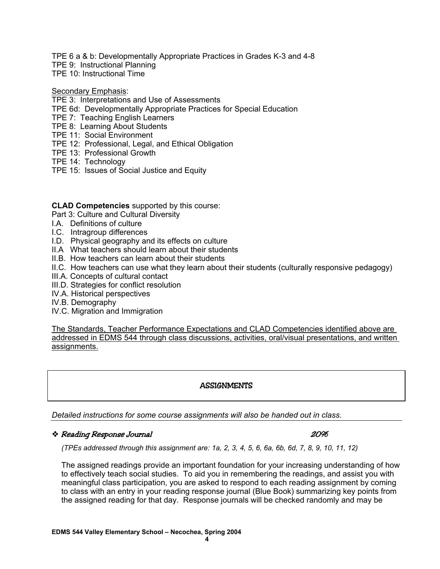TPE 6 a & b: Developmentally Appropriate Practices in Grades K-3 and 4-8

TPE 9: Instructional Planning

TPE 10: Instructional Time

### Secondary Emphasis:

- TPE 3: Interpretations and Use of Assessments
- TPE 6d: Developmentally Appropriate Practices for Special Education
- TPE 7: Teaching English Learners
- TPE 8: Learning About Students
- TPE 11: Social Environment
- TPE 12: Professional, Legal, and Ethical Obligation
- TPE 13: Professional Growth
- TPE 14: Technology
- TPE 15: Issues of Social Justice and Equity

### **CLAD Competencies** supported by this course:

Part 3: Culture and Cultural Diversity

- I.A. Definitions of culture
- I.C. Intragroup differences
- I.D. Physical geography and its effects on culture
- II.A What teachers should learn about their students
- II.B. How teachers can learn about their students
- II.C. How teachers can use what they learn about their students (culturally responsive pedagogy)
- III.A. Concepts of cultural contact
- III.D. Strategies for conflict resolution
- IV.A. Historical perspectives
- IV.B. Demography
- IV.C. Migration and Immigration

The Standards, Teacher Performance Expectations and CLAD Competencies identified above are addressed in EDMS 544 through class discussions, activities, oral/visual presentations, and written assignments.

## **ASSIGNMENTS**

*Detailed instructions for some course assignments will also be handed out in class.* 

## Reading Response Journal 20%

*(TPEs addressed through this assignment are: 1a, 2, 3, 4, 5, 6, 6a, 6b, 6d, 7, 8, 9, 10, 11, 12)* 

The assigned readings provide an important foundation for your increasing understanding of how to effectively teach social studies. To aid you in remembering the readings, and assist you with meaningful class participation, you are asked to respond to each reading assignment by coming to class with an entry in your reading response journal (Blue Book) summarizing key points from the assigned reading for that day. Response journals will be checked randomly and may be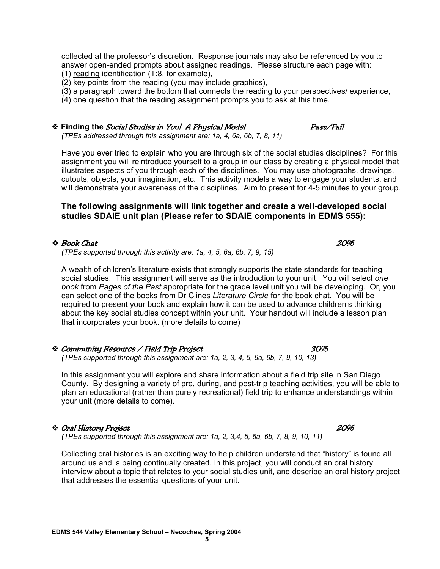collected at the professor's discretion. Response journals may also be referenced by you to answer open-ended prompts about assigned readings. Please structure each page with:

(1) reading identification (T:8, for example),

(2) key points from the reading (you may include graphics),

(3) a paragraph toward the bottom that connects the reading to your perspectives/ experience,

(4) one question that the reading assignment prompts you to ask at this time.

 **Finding the** Social Studies in You! A Physical Model Pass/Fail *(TPEs addressed through this assignment are: 1a, 4, 6a, 6b, 7, 8, 11)* 

Have you ever tried to explain who you are through six of the social studies disciplines? For this assignment you will reintroduce yourself to a group in our class by creating a physical model that illustrates aspects of you through each of the disciplines. You may use photographs, drawings, cutouts, objects, your imagination, etc. This activity models a way to engage your students, and will demonstrate your awareness of the disciplines. Aim to present for 4-5 minutes to your group.

## **The following assignments will link together and create a well-developed social studies SDAIE unit plan (Please refer to SDAIE components in EDMS 555):**

## **◆ Book Chat** 20%

*(TPEs supported through this activity are: 1a, 4, 5, 6a, 6b, 7, 9, 15)* 

A wealth of children's literature exists that strongly supports the state standards for teaching social studies. This assignment will serve as the introduction to your unit. You will select *one book* from *Pages of the Past* appropriate for the grade level unit you will be developing. Or, you can select one of the books from Dr Clines *Literature Circle* for the book chat. You will be required to present your book and explain how it can be used to advance children's thinking about the key social studies concept within your unit. Your handout will include a lesson plan that incorporates your book. (more details to come)

### Community Resource / Field Trip Project 30% *(TPEs supported through this assignment are: 1a, 2, 3, 4, 5, 6a, 6b, 7, 9, 10, 13)*

In this assignment you will explore and share information about a field trip site in San Diego County. By designing a variety of pre, during, and post-trip teaching activities, you will be able to plan an educational (rather than purely recreational) field trip to enhance understandings within your unit (more details to come).

## Oral History Project 20%

*(TPEs supported through this assignment are: 1a, 2, 3,4, 5, 6a, 6b, 7, 8, 9, 10, 11)* 

Collecting oral histories is an exciting way to help children understand that "history" is found all around us and is being continually created. In this project, you will conduct an oral history interview about a topic that relates to your social studies unit, and describe an oral history project that addresses the essential questions of your unit.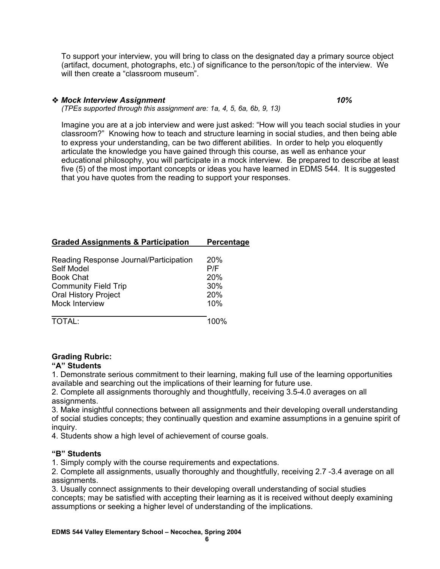To support your interview, you will bring to class on the designated day a primary source object (artifact, document, photographs, etc.) of significance to the person/topic of the interview. We will then create a "classroom museum".

## *Mock Interview Assignment 10%*

*(TPEs supported through this assignment are: 1a, 4, 5, 6a, 6b, 9, 13)* 

Imagine you are at a job interview and were just asked: "How will you teach social studies in your classroom?" Knowing how to teach and structure learning in social studies, and then being able to express your understanding, can be two different abilities. In order to help you eloquently articulate the knowledge you have gained through this course, as well as enhance your educational philosophy, you will participate in a mock interview. Be prepared to describe at least five (5) of the most important concepts or ideas you have learned in EDMS 544. It is suggested that you have quotes from the reading to support your responses.

## **Graded Assignments & Participation Percentage**

| Reading Response Journal/Participation | 20%  |
|----------------------------------------|------|
| Self Model                             | P/F  |
| <b>Book Chat</b>                       | 20%  |
| <b>Community Field Trip</b>            | 30%  |
| <b>Oral History Project</b>            | 20%  |
| Mock Interview                         | 10%  |
| TOTAL:                                 | 100% |

## **Grading Rubric:**

### **"A" Students**

1. Demonstrate serious commitment to their learning, making full use of the learning opportunities available and searching out the implications of their learning for future use.

2. Complete all assignments thoroughly and thoughtfully, receiving 3.5-4.0 averages on all assignments.

3. Make insightful connections between all assignments and their developing overall understanding of social studies concepts; they continually question and examine assumptions in a genuine spirit of inquiry.

4. Students show a high level of achievement of course goals.

### **"B" Students**

1. Simply comply with the course requirements and expectations.

2. Complete all assignments, usually thoroughly and thoughtfully, receiving 2.7 -3.4 average on all assignments.

3. Usually connect assignments to their developing overall understanding of social studies concepts; may be satisfied with accepting their learning as it is received without deeply examining assumptions or seeking a higher level of understanding of the implications.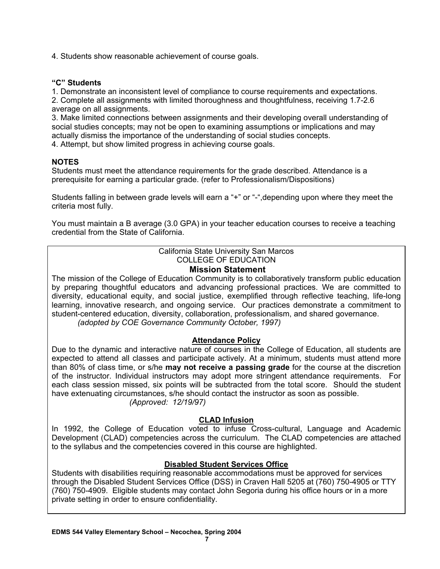4. Students show reasonable achievement of course goals.

### **"C" Students**

1. Demonstrate an inconsistent level of compliance to course requirements and expectations.

2. Complete all assignments with limited thoroughness and thoughtfulness, receiving 1.7-2.6 average on all assignments.

3. Make limited connections between assignments and their developing overall understanding of social studies concepts; may not be open to examining assumptions or implications and may actually dismiss the importance of the understanding of social studies concepts.

4. Attempt, but show limited progress in achieving course goals.

## **NOTES**

Students must meet the attendance requirements for the grade described. Attendance is a prerequisite for earning a particular grade. (refer to Professionalism/Dispositions)

Students falling in between grade levels will earn a "+" or "-",depending upon where they meet the criteria most fully.

You must maintain a B average (3.0 GPA) in your teacher education courses to receive a teaching credential from the State of California.

## California State University San Marcos COLLEGE OF EDUCATION

### **Mission Statement**

The mission of the College of Education Community is to collaboratively transform public education by preparing thoughtful educators and advancing professional practices. We are committed to diversity, educational equity, and social justice, exemplified through reflective teaching, life-long learning, innovative research, and ongoing service. Our practices demonstrate a commitment to student-centered education, diversity, collaboration, professionalism, and shared governance. *(adopted by COE Governance Community October, 1997)*

**Attendance Policy**

Due to the dynamic and interactive nature of courses in the College of Education, all students are expected to attend all classes and participate actively. At a minimum, students must attend more than 80% of class time, or s/he **may not receive a passing grade** for the course at the discretion of the instructor. Individual instructors may adopt more stringent attendance requirements. For each class session missed, six points will be subtracted from the total score. Should the student have extenuating circumstances, s/he should contact the instructor as soon as possible. *(Approved: 12/19/97)* 

**CLAD Infusion**

In 1992, the College of Education voted to infuse Cross-cultural, Language and Academic Development (CLAD) competencies across the curriculum. The CLAD competencies are attached to the syllabus and the competencies covered in this course are highlighted.

## **Disabled Student Services Office**

Students with disabilities requiring reasonable accommodations must be approved for services through the Disabled Student Services Office (DSS) in Craven Hall 5205 at (760) 750-4905 or TTY (760) 750-4909. Eligible students may contact John Segoria during his office hours or in a more private setting in order to ensure confidentiality.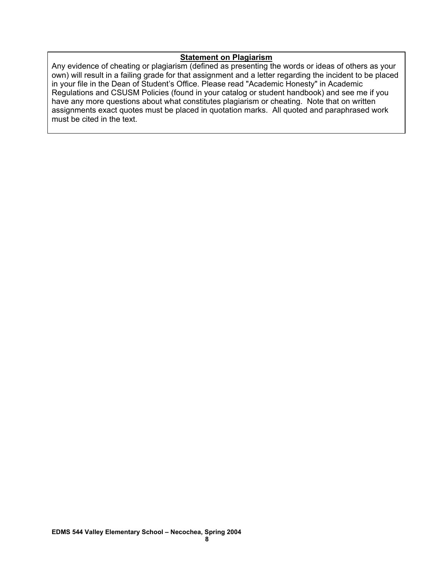### **Statement on Plagiarism**

Any evidence of cheating or plagiarism (defined as presenting the words or ideas of others as your own) will result in a failing grade for that assignment and a letter regarding the incident to be placed in your file in the Dean of Student's Office. Please read "Academic Honesty" in Academic Regulations and CSUSM Policies (found in your catalog or student handbook) and see me if you have any more questions about what constitutes plagiarism or cheating. Note that on written assignments exact quotes must be placed in quotation marks. All quoted and paraphrased work must be cited in the text.